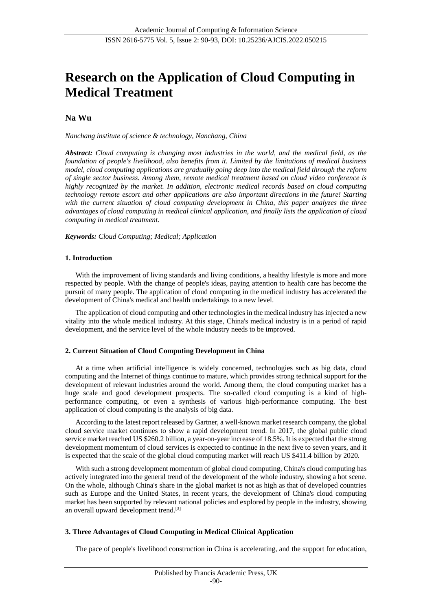# **Research on the Application of Cloud Computing in Medical Treatment**

## **Na Wu**

*Nanchang institute of science & technology, Nanchang, China*

*Abstract: Cloud computing is changing most industries in the world, and the medical field, as the foundation of people's livelihood, also benefits from it. Limited by the limitations of medical business model, cloud computing applications are gradually going deep into the medical field through the reform of single sector business. Among them, remote medical treatment based on cloud video conference is highly recognized by the market. In addition, electronic medical records based on cloud computing technology remote escort and other applications are also important directions in the future! Starting with the current situation of cloud computing development in China, this paper analyzes the three advantages of cloud computing in medical clinical application, and finally lists the application of cloud computing in medical treatment.*

*Keywords: Cloud Computing; Medical; Application*

## **1. Introduction**

With the improvement of living standards and living conditions, a healthy lifestyle is more and more respected by people. With the change of people's ideas, paying attention to health care has become the pursuit of many people. The application of cloud computing in the medical industry has accelerated the development of China's medical and health undertakings to a new level.

The application of cloud computing and other technologies in the medical industry has injected a new vitality into the whole medical industry. At this stage, China's medical industry is in a period of rapid development, and the service level of the whole industry needs to be improved.

## **2. Current Situation of Cloud Computing Development in China**

At a time when artificial intelligence is widely concerned, technologies such as big data, cloud computing and the Internet of things continue to mature, which provides strong technical support for the development of relevant industries around the world. Among them, the cloud computing market has a huge scale and good development prospects. The so-called cloud computing is a kind of highperformance computing, or even a synthesis of various high-performance computing. The best application of cloud computing is the analysis of big data.

According to the latest report released by Gartner, a well-known market research company, the global cloud service market continues to show a rapid development trend. In 2017, the global public cloud service market reached US \$260.2 billion, a year-on-year increase of 18.5%. It is expected that the strong development momentum of cloud services is expected to continue in the next five to seven years, and it is expected that the scale of the global cloud computing market will reach US \$411.4 billion by 2020.

With such a strong development momentum of global cloud computing, China's cloud computing has actively integrated into the general trend of the development of the whole industry, showing a hot scene. On the whole, although China's share in the global market is not as high as that of developed countries such as Europe and the United States, in recent years, the development of China's cloud computing market has been supported by relevant national policies and explored by people in the industry, showing an overall upward development trend.[3]

## **3. Three Advantages of Cloud Computing in Medical Clinical Application**

The pace of people's livelihood construction in China is accelerating, and the support for education,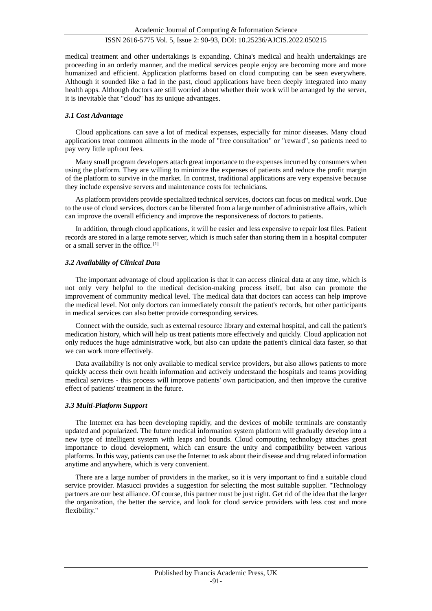## ISSN 2616-5775 Vol. 5, Issue 2: 90-93, DOI: 10.25236/AJCIS.2022.050215

medical treatment and other undertakings is expanding. China's medical and health undertakings are proceeding in an orderly manner, and the medical services people enjoy are becoming more and more humanized and efficient. Application platforms based on cloud computing can be seen everywhere. Although it sounded like a fad in the past, cloud applications have been deeply integrated into many health apps. Although doctors are still worried about whether their work will be arranged by the server, it is inevitable that "cloud" has its unique advantages.

#### *3.1 Cost Advantage*

Cloud applications can save a lot of medical expenses, especially for minor diseases. Many cloud applications treat common ailments in the mode of "free consultation" or "reward", so patients need to pay very little upfront fees.

Many small program developers attach great importance to the expenses incurred by consumers when using the platform. They are willing to minimize the expenses of patients and reduce the profit margin of the platform to survive in the market. In contrast, traditional applications are very expensive because they include expensive servers and maintenance costs for technicians.

As platform providers provide specialized technical services, doctors can focus on medical work. Due to the use of cloud services, doctors can be liberated from a large number of administrative affairs, which can improve the overall efficiency and improve the responsiveness of doctors to patients.

In addition, through cloud applications, it will be easier and less expensive to repair lost files. Patient records are stored in a large remote server, which is much safer than storing them in a hospital computer or a small server in the office.<sup>[1]</sup>

#### *3.2 Availability of Clinical Data*

The important advantage of cloud application is that it can access clinical data at any time, which is not only very helpful to the medical decision-making process itself, but also can promote the improvement of community medical level. The medical data that doctors can access can help improve the medical level. Not only doctors can immediately consult the patient's records, but other participants in medical services can also better provide corresponding services.

Connect with the outside, such as external resource library and external hospital, and call the patient's medication history, which will help us treat patients more effectively and quickly. Cloud application not only reduces the huge administrative work, but also can update the patient's clinical data faster, so that we can work more effectively.

Data availability is not only available to medical service providers, but also allows patients to more quickly access their own health information and actively understand the hospitals and teams providing medical services - this process will improve patients' own participation, and then improve the curative effect of patients' treatment in the future.

#### *3.3 Multi-Platform Support*

The Internet era has been developing rapidly, and the devices of mobile terminals are constantly updated and popularized. The future medical information system platform will gradually develop into a new type of intelligent system with leaps and bounds. Cloud computing technology attaches great importance to cloud development, which can ensure the unity and compatibility between various platforms. In this way, patients can use the Internet to ask about their disease and drug related information anytime and anywhere, which is very convenient.

There are a large number of providers in the market, so it is very important to find a suitable cloud service provider. Masucci provides a suggestion for selecting the most suitable supplier. "Technology partners are our best alliance. Of course, this partner must be just right. Get rid of the idea that the larger the organization, the better the service, and look for cloud service providers with less cost and more flexibility."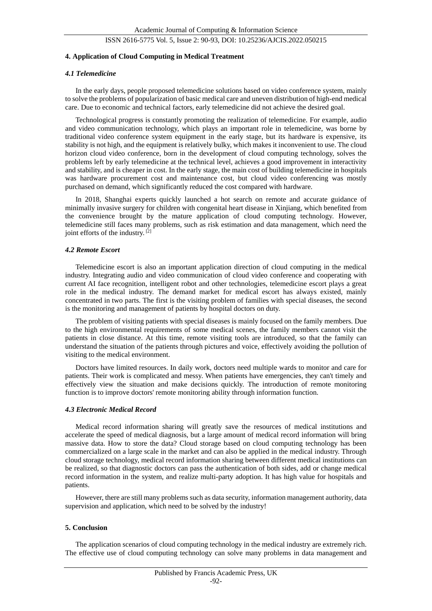#### ISSN 2616-5775 Vol. 5, Issue 2: 90-93, DOI: 10.25236/AJCIS.2022.050215

#### **4. Application of Cloud Computing in Medical Treatment**

#### *4.1 Telemedicine*

In the early days, people proposed telemedicine solutions based on video conference system, mainly to solve the problems of popularization of basic medical care and uneven distribution of high-end medical care. Due to economic and technical factors, early telemedicine did not achieve the desired goal.

Technological progress is constantly promoting the realization of telemedicine. For example, audio and video communication technology, which plays an important role in telemedicine, was borne by traditional video conference system equipment in the early stage, but its hardware is expensive, its stability is not high, and the equipment is relatively bulky, which makes it inconvenient to use. The cloud horizon cloud video conference, born in the development of cloud computing technology, solves the problems left by early telemedicine at the technical level, achieves a good improvement in interactivity and stability, and is cheaper in cost. In the early stage, the main cost of building telemedicine in hospitals was hardware procurement cost and maintenance cost, but cloud video conferencing was mostly purchased on demand, which significantly reduced the cost compared with hardware.

In 2018, Shanghai experts quickly launched a hot search on remote and accurate guidance of minimally invasive surgery for children with congenital heart disease in Xinjiang, which benefited from the convenience brought by the mature application of cloud computing technology. However, telemedicine still faces many problems, such as risk estimation and data management, which need the joint efforts of the industry.<sup>[2]</sup>

#### *4.2 Remote Escort*

Telemedicine escort is also an important application direction of cloud computing in the medical industry. Integrating audio and video communication of cloud video conference and cooperating with current AI face recognition, intelligent robot and other technologies, telemedicine escort plays a great role in the medical industry. The demand market for medical escort has always existed, mainly concentrated in two parts. The first is the visiting problem of families with special diseases, the second is the monitoring and management of patients by hospital doctors on duty.

The problem of visiting patients with special diseases is mainly focused on the family members. Due to the high environmental requirements of some medical scenes, the family members cannot visit the patients in close distance. At this time, remote visiting tools are introduced, so that the family can understand the situation of the patients through pictures and voice, effectively avoiding the pollution of visiting to the medical environment.

Doctors have limited resources. In daily work, doctors need multiple wards to monitor and care for patients. Their work is complicated and messy. When patients have emergencies, they can't timely and effectively view the situation and make decisions quickly. The introduction of remote monitoring function is to improve doctors' remote monitoring ability through information function.

## *4.3 Electronic Medical Record*

Medical record information sharing will greatly save the resources of medical institutions and accelerate the speed of medical diagnosis, but a large amount of medical record information will bring massive data. How to store the data? Cloud storage based on cloud computing technology has been commercialized on a large scale in the market and can also be applied in the medical industry. Through cloud storage technology, medical record information sharing between different medical institutions can be realized, so that diagnostic doctors can pass the authentication of both sides, add or change medical record information in the system, and realize multi-party adoption. It has high value for hospitals and patients.

However, there are still many problems such as data security, information management authority, data supervision and application, which need to be solved by the industry!

#### **5. Conclusion**

The application scenarios of cloud computing technology in the medical industry are extremely rich. The effective use of cloud computing technology can solve many problems in data management and